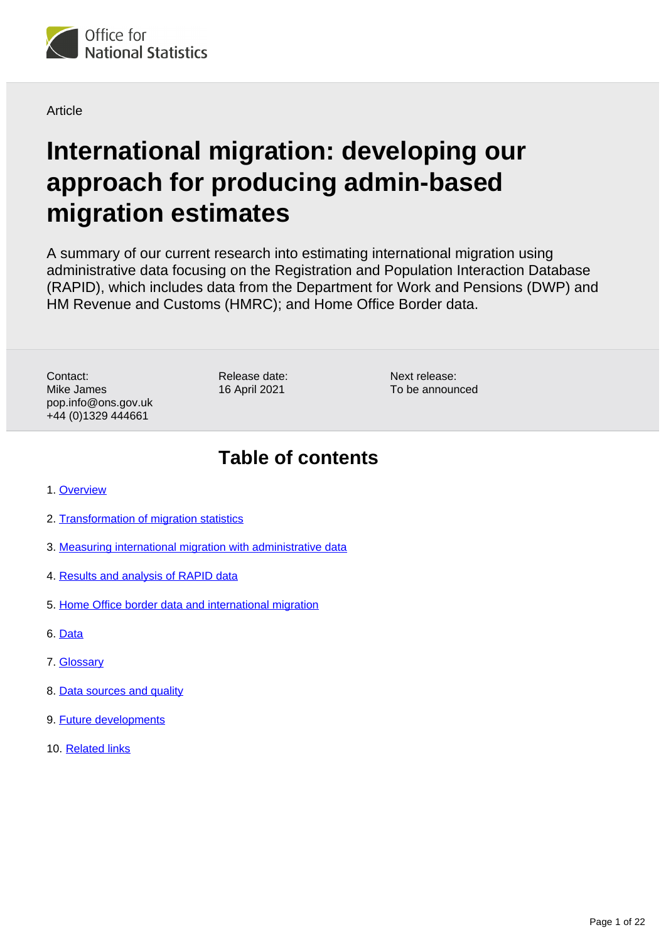

Article

# **International migration: developing our approach for producing admin-based migration estimates**

A summary of our current research into estimating international migration using administrative data focusing on the Registration and Population Interaction Database (RAPID), which includes data from the Department for Work and Pensions (DWP) and HM Revenue and Customs (HMRC); and Home Office Border data.

Contact: Mike James pop.info@ons.gov.uk +44 (0)1329 444661

Release date: 16 April 2021

Next release: To be announced

# **Table of contents**

- 1. [Overview](#page-1-0)
- 2. [Transformation of migration statistics](#page-2-0)
- 3. [Measuring international migration with administrative data](#page-3-0)
- 4. [Results and analysis of RAPID data](#page-7-0)
- 5. [Home Office border data and international migration](#page-15-0)
- 6. [Data](#page-18-0)
- 7. [Glossary](#page-18-1)
- 8. [Data sources and quality](#page-19-0)
- 9. [Future developments](#page-19-1)
- 10. [Related links](#page-21-0)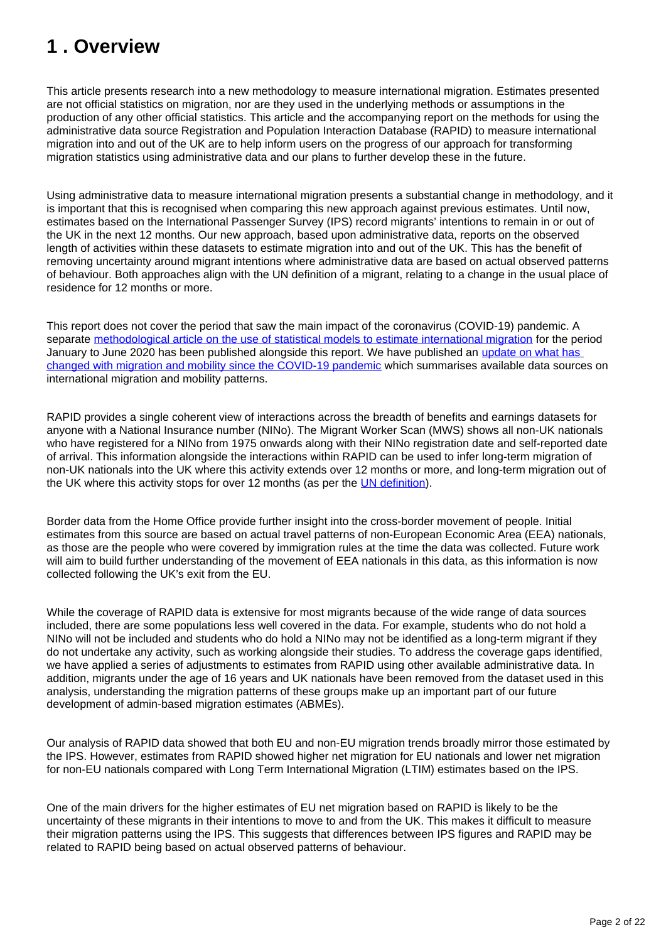# <span id="page-1-0"></span>**1 . Overview**

This article presents research into a new methodology to measure international migration. Estimates presented are not official statistics on migration, nor are they used in the underlying methods or assumptions in the production of any other official statistics. This article and the accompanying report on the methods for using the administrative data source Registration and Population Interaction Database (RAPID) to measure international migration into and out of the UK are to help inform users on the progress of our approach for transforming migration statistics using administrative data and our plans to further develop these in the future.

Using administrative data to measure international migration presents a substantial change in methodology, and it is important that this is recognised when comparing this new approach against previous estimates. Until now, estimates based on the International Passenger Survey (IPS) record migrants' intentions to remain in or out of the UK in the next 12 months. Our new approach, based upon administrative data, reports on the observed length of activities within these datasets to estimate migration into and out of the UK. This has the benefit of removing uncertainty around migrant intentions where administrative data are based on actual observed patterns of behaviour. Both approaches align with the UN definition of a migrant, relating to a change in the usual place of residence for 12 months or more.

This report does not cover the period that saw the main impact of the coronavirus (COVID-19) pandemic. A separate [methodological article on the use of statistical models to estimate international migration](https://www.ons.gov.uk/methodology/methodologicalpublications/generalmethodology/onsworkingpaperseries/usingstatisticalmodellingtoestimateukinternationalmigration) for the period January to June 2020 has been published alongside this report. We have published an update on what has [changed with migration and mobility since the COVID-19 pandemic](https://www.ons.gov.uk/peoplepopulationandcommunity/populationandmigration/internationalmigration/articles/internationalmigrationandmobilitywhatschangedsincethecoronaviruspandemic/2020-11-26) which summarises available data sources on international migration and mobility patterns.

RAPID provides a single coherent view of interactions across the breadth of benefits and earnings datasets for anyone with a National Insurance number (NINo). The Migrant Worker Scan (MWS) shows all non-UK nationals who have registered for a NINo from 1975 onwards along with their NINo registration date and self-reported date of arrival. This information alongside the interactions within RAPID can be used to infer long-term migration of non-UK nationals into the UK where this activity extends over 12 months or more, and long-term migration out of the UK where this activity stops for over 12 months (as per the [UN definition](http://unstats.un.org/unsd/publication/SeriesM/SeriesM_58rev1e.pdf)).

Border data from the Home Office provide further insight into the cross-border movement of people. Initial estimates from this source are based on actual travel patterns of non-European Economic Area (EEA) nationals, as those are the people who were covered by immigration rules at the time the data was collected. Future work will aim to build further understanding of the movement of EEA nationals in this data, as this information is now collected following the UK's exit from the EU.

While the coverage of RAPID data is extensive for most migrants because of the wide range of data sources included, there are some populations less well covered in the data. For example, students who do not hold a NINo will not be included and students who do hold a NINo may not be identified as a long-term migrant if they do not undertake any activity, such as working alongside their studies. To address the coverage gaps identified, we have applied a series of adjustments to estimates from RAPID using other available administrative data. In addition, migrants under the age of 16 years and UK nationals have been removed from the dataset used in this analysis, understanding the migration patterns of these groups make up an important part of our future development of admin-based migration estimates (ABMEs).

Our analysis of RAPID data showed that both EU and non-EU migration trends broadly mirror those estimated by the IPS. However, estimates from RAPID showed higher net migration for EU nationals and lower net migration for non-EU nationals compared with Long Term International Migration (LTIM) estimates based on the IPS.

One of the main drivers for the higher estimates of EU net migration based on RAPID is likely to be the uncertainty of these migrants in their intentions to move to and from the UK. This makes it difficult to measure their migration patterns using the IPS. This suggests that differences between IPS figures and RAPID may be related to RAPID being based on actual observed patterns of behaviour.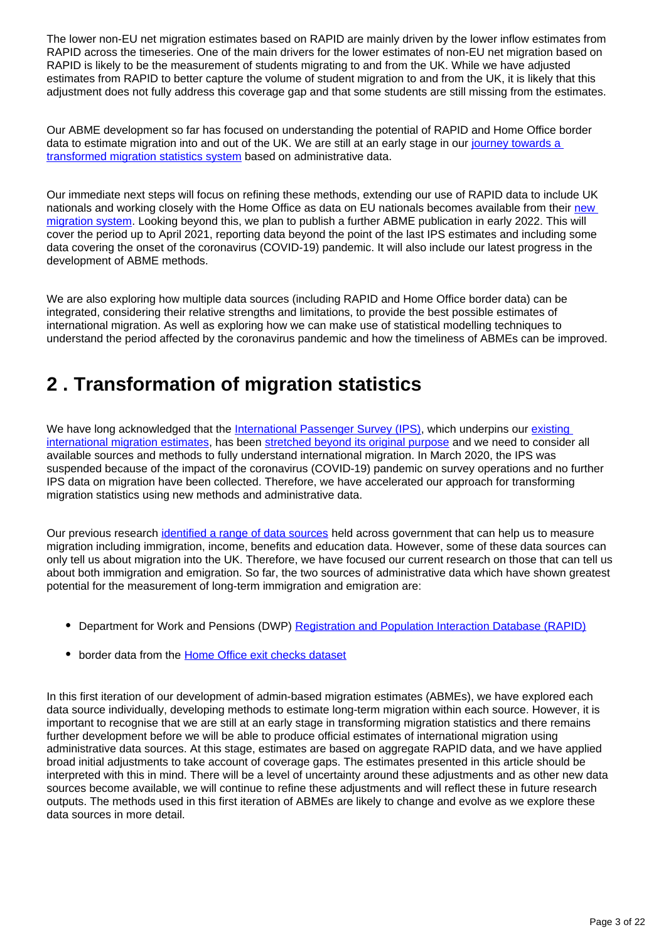The lower non-EU net migration estimates based on RAPID are mainly driven by the lower inflow estimates from RAPID across the timeseries. One of the main drivers for the lower estimates of non-EU net migration based on RAPID is likely to be the measurement of students migrating to and from the UK. While we have adjusted estimates from RAPID to better capture the volume of student migration to and from the UK, it is likely that this adjustment does not fully address this coverage gap and that some students are still missing from the estimates.

Our ABME development so far has focused on understanding the potential of RAPID and Home Office border data to estimate migration into and out of the UK. We are still at an early stage in our journey towards a [transformed migration statistics system](https://www.ons.gov.uk/peoplepopulationandcommunity/populationandmigration/internationalmigration/articles/transformationofthepopulationandmigrationstatisticssystemoverview/2019-06-21) based on administrative data.

Our immediate next steps will focus on refining these methods, extending our use of RAPID data to include UK nationals and working closely with the Home Office as data on EU nationals becomes available from their [new](https://www.gov.uk/guidance/new-immigration-system-what-you-need-to-know)  [migration system](https://www.gov.uk/guidance/new-immigration-system-what-you-need-to-know). Looking beyond this, we plan to publish a further ABME publication in early 2022. This will cover the period up to April 2021, reporting data beyond the point of the last IPS estimates and including some data covering the onset of the coronavirus (COVID-19) pandemic. It will also include our latest progress in the development of ABME methods.

We are also exploring how multiple data sources (including RAPID and Home Office border data) can be integrated, considering their relative strengths and limitations, to provide the best possible estimates of international migration. As well as exploring how we can make use of statistical modelling techniques to understand the period affected by the coronavirus pandemic and how the timeliness of ABMEs can be improved.

# <span id="page-2-0"></span>**2 . Transformation of migration statistics**

We have long acknowledged that the [International Passenger Survey \(IPS\),](https://www.ons.gov.uk/surveys/informationforhouseholdsandindividuals/householdandindividualsurveys/internationalpassengersurvey) which underpins our existing [international migration estimates,](https://www.ons.gov.uk/peoplepopulationandcommunity/populationandmigration/internationalmigration/bulletins/migrationstatisticsquarterlyreport/previousReleases) has been [stretched beyond its original purpose](https://www.ons.gov.uk/peoplepopulationandcommunity/populationandmigration/internationalmigration/articles/updateonourpopulationandmigrationstatisticstransformationjourneyaresearchengagementreport/2019-01-30#main-challenges-and-progress-to-date) and we need to consider all available sources and methods to fully understand international migration. In March 2020, the IPS was suspended because of the impact of the coronavirus (COVID-19) pandemic on survey operations and no further IPS data on migration have been collected. Therefore, we have accelerated our approach for transforming migration statistics using new methods and administrative data.

Our previous research [identified a range of data sources](https://www.ons.gov.uk/peoplepopulationandcommunity/populationandmigration/internationalmigration/articles/updateonourpopulationandmigrationstatisticstransformationjourneyaresearchengagementreport/2019-01-30) held across government that can help us to measure migration including immigration, income, benefits and education data. However, some of these data sources can only tell us about migration into the UK. Therefore, we have focused our current research on those that can tell us about both immigration and emigration. So far, the two sources of administrative data which have shown greatest potential for the measurement of long-term immigration and emigration are:

- Department for Work and Pensions (DWP) [Registration and Population Interaction Database \(RAPID\)](https://www.ons.gov.uk/peoplepopulationandcommunity/populationandmigration/internationalmigration/articles/populationandmigrationstatisticssystemtransformationrecentupdates/2020-05-21#update-on-analysis-to-explore-how-the-dwps-rapid-could-be-used-to-measure-migration)
- border data from the [Home Office exit checks dataset](https://www.ons.gov.uk/peoplepopulationandcommunity/populationandmigration/internationalmigration/articles/exploringinternationalmigrationconceptsanddefinitionswithhomeofficeadministrativedata/2020-02-14)

In this first iteration of our development of admin-based migration estimates (ABMEs), we have explored each data source individually, developing methods to estimate long-term migration within each source. However, it is important to recognise that we are still at an early stage in transforming migration statistics and there remains further development before we will be able to produce official estimates of international migration using administrative data sources. At this stage, estimates are based on aggregate RAPID data, and we have applied broad initial adjustments to take account of coverage gaps. The estimates presented in this article should be interpreted with this in mind. There will be a level of uncertainty around these adjustments and as other new data sources become available, we will continue to refine these adjustments and will reflect these in future research outputs. The methods used in this first iteration of ABMEs are likely to change and evolve as we explore these data sources in more detail.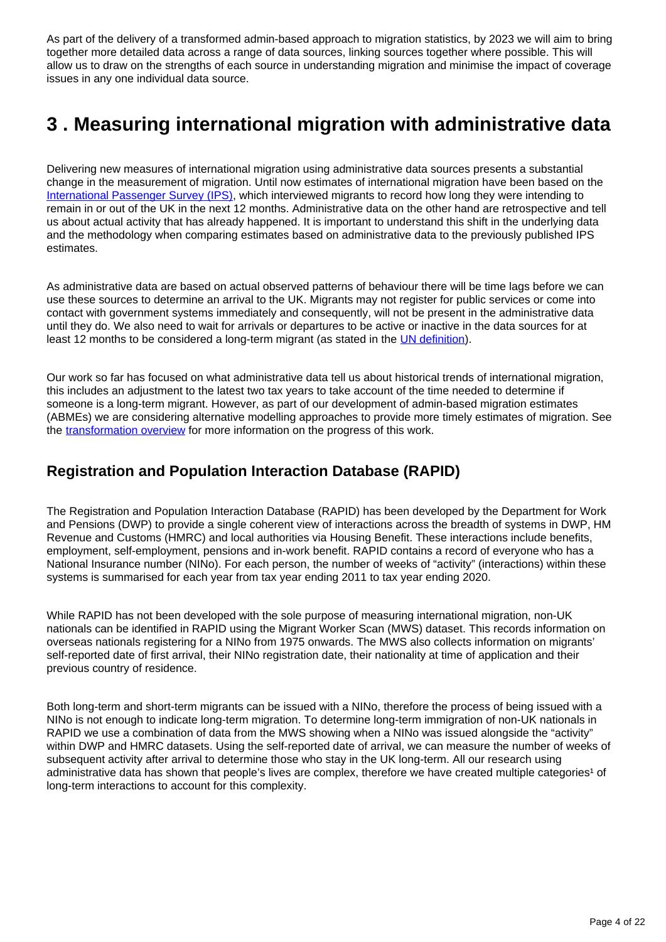As part of the delivery of a transformed admin-based approach to migration statistics, by 2023 we will aim to bring together more detailed data across a range of data sources, linking sources together where possible. This will allow us to draw on the strengths of each source in understanding migration and minimise the impact of coverage issues in any one individual data source.

# <span id="page-3-0"></span>**3 . Measuring international migration with administrative data**

Delivering new measures of international migration using administrative data sources presents a substantial change in the measurement of migration. Until now estimates of international migration have been based on the [International Passenger Survey \(IPS\)](https://www.ons.gov.uk/peoplepopulationandcommunity/populationandmigration/internationalmigration/methodologies/longterminternationalmigrationestimatesmethodology), which interviewed migrants to record how long they were intending to remain in or out of the UK in the next 12 months. Administrative data on the other hand are retrospective and tell us about actual activity that has already happened. It is important to understand this shift in the underlying data and the methodology when comparing estimates based on administrative data to the previously published IPS estimates.

As administrative data are based on actual observed patterns of behaviour there will be time lags before we can use these sources to determine an arrival to the UK. Migrants may not register for public services or come into contact with government systems immediately and consequently, will not be present in the administrative data until they do. We also need to wait for arrivals or departures to be active or inactive in the data sources for at least 12 months to be considered a long-term migrant (as stated in the [UN definition\)](http://unstats.un.org/unsd/publication/SeriesM/SeriesM_58rev1e.pdf).

Our work so far has focused on what administrative data tell us about historical trends of international migration, this includes an adjustment to the latest two tax years to take account of the time needed to determine if someone is a long-term migrant. However, as part of our development of admin-based migration estimates (ABMEs) we are considering alternative modelling approaches to provide more timely estimates of migration. See the [transformation overview](https://www.ons.gov.uk/peoplepopulationandcommunity/populationandmigration/internationalmigration/articles/transformationofthepopulationandmigrationstatisticssystemoverview/2019-06-21) for more information on the progress of this work.

# **Registration and Population Interaction Database (RAPID)**

The Registration and Population Interaction Database (RAPID) has been developed by the Department for Work and Pensions (DWP) to provide a single coherent view of interactions across the breadth of systems in DWP, HM Revenue and Customs (HMRC) and local authorities via Housing Benefit. These interactions include benefits, employment, self-employment, pensions and in-work benefit. RAPID contains a record of everyone who has a National Insurance number (NINo). For each person, the number of weeks of "activity" (interactions) within these systems is summarised for each year from tax year ending 2011 to tax year ending 2020.

While RAPID has not been developed with the sole purpose of measuring international migration, non-UK nationals can be identified in RAPID using the Migrant Worker Scan (MWS) dataset. This records information on overseas nationals registering for a NINo from 1975 onwards. The MWS also collects information on migrants' self-reported date of first arrival, their NINo registration date, their nationality at time of application and their previous country of residence.

Both long-term and short-term migrants can be issued with a NINo, therefore the process of being issued with a NINo is not enough to indicate long-term migration. To determine long-term immigration of non-UK nationals in RAPID we use a combination of data from the MWS showing when a NINo was issued alongside the "activity" within DWP and HMRC datasets. Using the self-reported date of arrival, we can measure the number of weeks of subsequent activity after arrival to determine those who stay in the UK long-term. All our research using administrative data has shown that people's lives are complex, therefore we have created multiple categories<sup>1</sup> of long-term interactions to account for this complexity.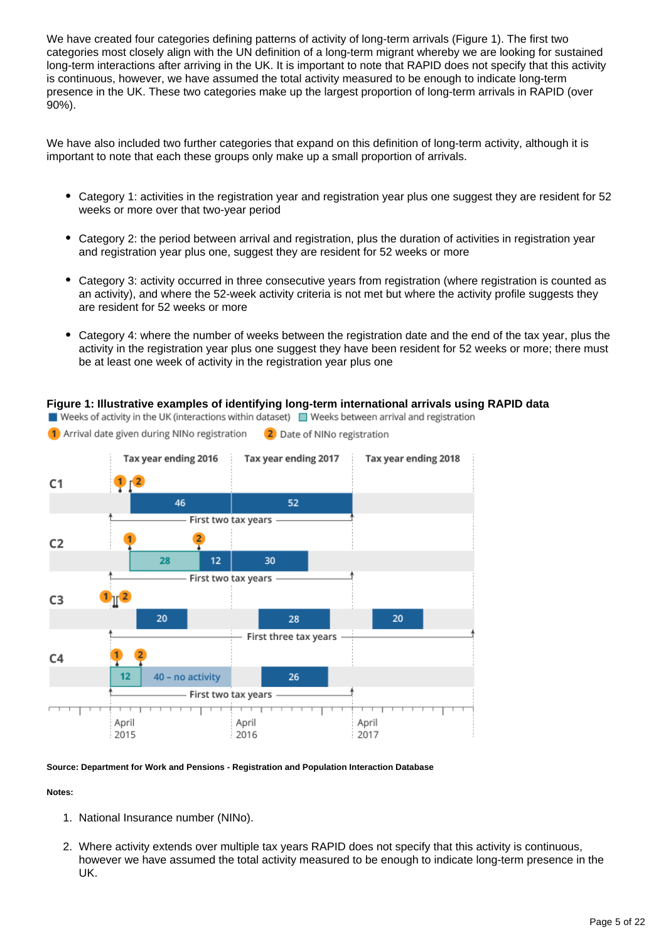We have created four categories defining patterns of activity of long-term arrivals (Figure 1). The first two categories most closely align with the UN definition of a long-term migrant whereby we are looking for sustained long-term interactions after arriving in the UK. It is important to note that RAPID does not specify that this activity is continuous, however, we have assumed the total activity measured to be enough to indicate long-term presence in the UK. These two categories make up the largest proportion of long-term arrivals in RAPID (over 90%).

We have also included two further categories that expand on this definition of long-term activity, although it is important to note that each these groups only make up a small proportion of arrivals.

- Category 1: activities in the registration year and registration year plus one suggest they are resident for 52 weeks or more over that two-year period
- Category 2: the period between arrival and registration, plus the duration of activities in registration year and registration year plus one, suggest they are resident for 52 weeks or more
- Category 3: activity occurred in three consecutive years from registration (where registration is counted as an activity), and where the 52-week activity criteria is not met but where the activity profile suggests they are resident for 52 weeks or more
- Category 4: where the number of weeks between the registration date and the end of the tax year, plus the activity in the registration year plus one suggest they have been resident for 52 weeks or more; there must be at least one week of activity in the registration year plus one

## **Figure 1: Illustrative examples of identifying long-term international arrivals using RAPID data**

■ Weeks of activity in the UK (interactions within dataset) ■ Weeks between arrival and registration



1 Arrival date given during NINo registration 2 Date of NINo registration

#### **Source: Department for Work and Pensions - Registration and Population Interaction Database**

### **Notes:**

- 1. National Insurance number (NINo).
- 2. Where activity extends over multiple tax years RAPID does not specify that this activity is continuous, however we have assumed the total activity measured to be enough to indicate long-term presence in the UK.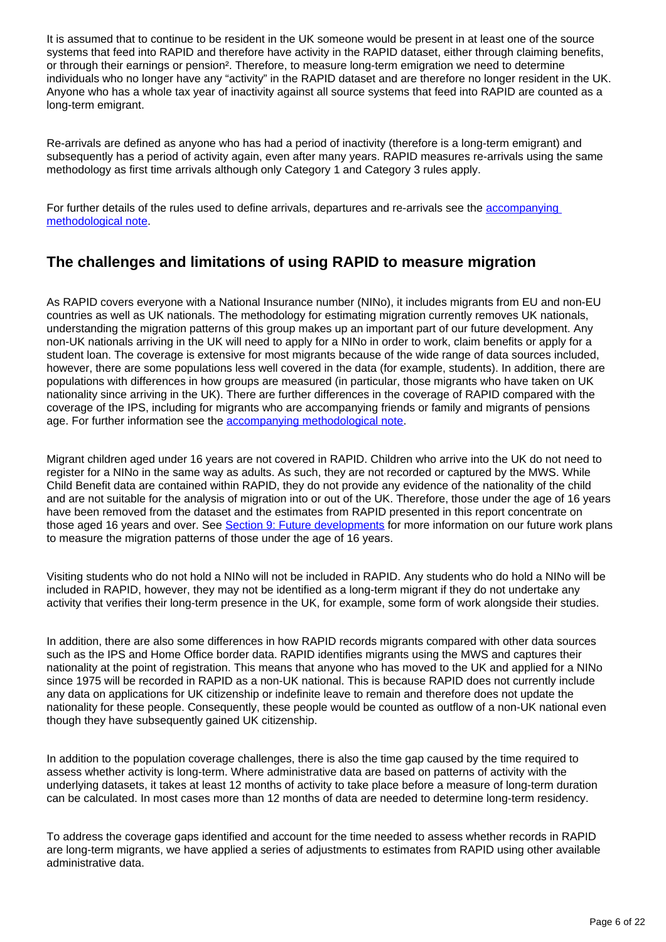It is assumed that to continue to be resident in the UK someone would be present in at least one of the source systems that feed into RAPID and therefore have activity in the RAPID dataset, either through claiming benefits, or through their earnings or pension². Therefore, to measure long-term emigration we need to determine individuals who no longer have any "activity" in the RAPID dataset and are therefore no longer resident in the UK. Anyone who has a whole tax year of inactivity against all source systems that feed into RAPID are counted as a long-term emigrant.

Re-arrivals are defined as anyone who has had a period of inactivity (therefore is a long-term emigrant) and subsequently has a period of activity again, even after many years. RAPID measures re-arrivals using the same methodology as first time arrivals although only Category 1 and Category 3 rules apply.

For further details of the rules used to define arrivals, departures and re-arrivals see the [accompanying](https://www.ons.gov.uk/peoplepopulationandcommunity/populationandmigration/internationalmigration/methodologies/methodsformeasuringinternationalmigrationusingrapidadministrativedata)  [methodological note](https://www.ons.gov.uk/peoplepopulationandcommunity/populationandmigration/internationalmigration/methodologies/methodsformeasuringinternationalmigrationusingrapidadministrativedata).

# **The challenges and limitations of using RAPID to measure migration**

As RAPID covers everyone with a National Insurance number (NINo), it includes migrants from EU and non-EU countries as well as UK nationals. The methodology for estimating migration currently removes UK nationals, understanding the migration patterns of this group makes up an important part of our future development. Any non-UK nationals arriving in the UK will need to apply for a NINo in order to work, claim benefits or apply for a student loan. The coverage is extensive for most migrants because of the wide range of data sources included, however, there are some populations less well covered in the data (for example, students). In addition, there are populations with differences in how groups are measured (in particular, those migrants who have taken on UK nationality since arriving in the UK). There are further differences in the coverage of RAPID compared with the coverage of the IPS, including for migrants who are accompanying friends or family and migrants of pensions age. For further information see the [accompanying methodological note.](https://www.ons.gov.uk/peoplepopulationandcommunity/populationandmigration/internationalmigration/methodologies/methodsformeasuringinternationalmigrationusingrapidadministrativedata)

Migrant children aged under 16 years are not covered in RAPID. Children who arrive into the UK do not need to register for a NINo in the same way as adults. As such, they are not recorded or captured by the MWS. While Child Benefit data are contained within RAPID, they do not provide any evidence of the nationality of the child and are not suitable for the analysis of migration into or out of the UK. Therefore, those under the age of 16 years have been removed from the dataset and the estimates from RAPID presented in this report concentrate on those aged 16 years and over. See [Section 9: Future developments](https://www.ons.gov.uk/peoplepopulationandcommunity/populationandmigration/internationalmigration/articles/internationalmigrationdevelopingourapproachforproducingadminbasedmigrationestimates/2021-04-16#future-developments) for more information on our future work plans to measure the migration patterns of those under the age of 16 years.

Visiting students who do not hold a NINo will not be included in RAPID. Any students who do hold a NINo will be included in RAPID, however, they may not be identified as a long-term migrant if they do not undertake any activity that verifies their long-term presence in the UK, for example, some form of work alongside their studies.

In addition, there are also some differences in how RAPID records migrants compared with other data sources such as the IPS and Home Office border data. RAPID identifies migrants using the MWS and captures their nationality at the point of registration. This means that anyone who has moved to the UK and applied for a NINo since 1975 will be recorded in RAPID as a non-UK national. This is because RAPID does not currently include any data on applications for UK citizenship or indefinite leave to remain and therefore does not update the nationality for these people. Consequently, these people would be counted as outflow of a non-UK national even though they have subsequently gained UK citizenship.

In addition to the population coverage challenges, there is also the time gap caused by the time required to assess whether activity is long-term. Where administrative data are based on patterns of activity with the underlying datasets, it takes at least 12 months of activity to take place before a measure of long-term duration can be calculated. In most cases more than 12 months of data are needed to determine long-term residency.

To address the coverage gaps identified and account for the time needed to assess whether records in RAPID are long-term migrants, we have applied a series of adjustments to estimates from RAPID using other available administrative data.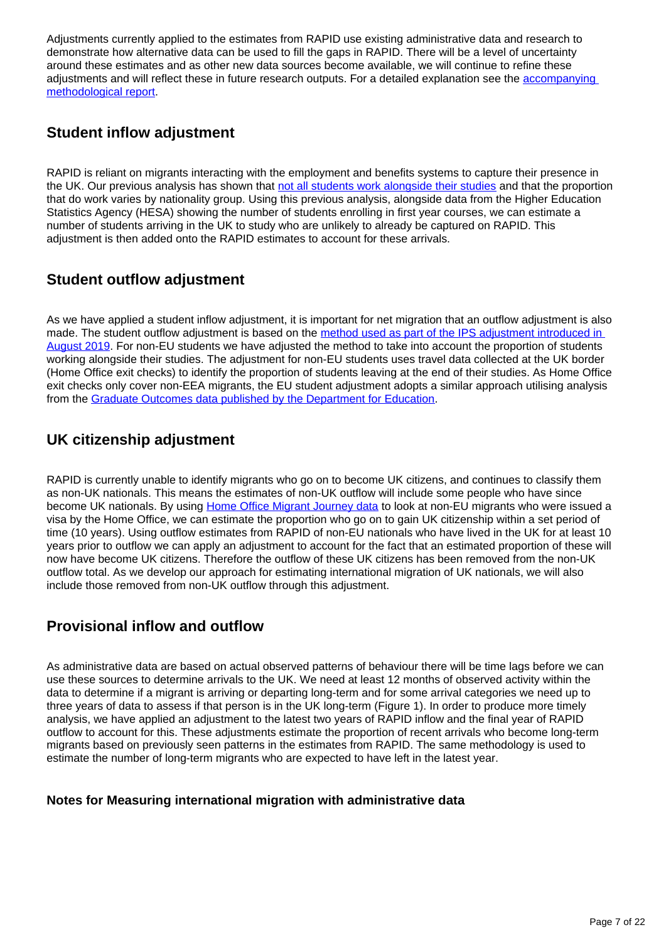Adjustments currently applied to the estimates from RAPID use existing administrative data and research to demonstrate how alternative data can be used to fill the gaps in RAPID. There will be a level of uncertainty around these estimates and as other new data sources become available, we will continue to refine these adjustments and will reflect these in future research outputs. For a detailed explanation see the accompanying [methodological report.](https://www.ons.gov.uk/peoplepopulationandcommunity/populationandmigration/internationalmigration/methodologies/methodsformeasuringinternationalmigrationusingrapidadministrativedata)

# **Student inflow adjustment**

RAPID is reliant on migrants interacting with the employment and benefits systems to capture their presence in the UK. Our previous analysis has shown that [not all students work alongside their studies](https://www.slideshare.net/statisticsONS/transforming-population-and-migration-statistics-international-student-employment-activity-129833971?qid=40283269-950c-46d6-93ae-71d52c8f02f5&v=&b=&from_search=3) and that the proportion that do work varies by nationality group. Using this previous analysis, alongside data from the Higher Education Statistics Agency (HESA) showing the number of students enrolling in first year courses, we can estimate a number of students arriving in the UK to study who are unlikely to already be captured on RAPID. This adjustment is then added onto the RAPID estimates to account for these arrivals.

# **Student outflow adjustment**

As we have applied a student inflow adjustment, it is important for net migration that an outflow adjustment is also made. The student outflow adjustment is based on the method used as part of the IPS adjustment introduced in [August 2019](https://www.ons.gov.uk/peoplepopulationandcommunity/populationandmigration/internationalmigration/methodologies/longterminternationalmigrationestimatesmethodology#preliminary-adjustments-to-ltim). For non-EU students we have adjusted the method to take into account the proportion of students working alongside their studies. The adjustment for non-EU students uses travel data collected at the UK border (Home Office exit checks) to identify the proportion of students leaving at the end of their studies. As Home Office exit checks only cover non-EEA migrants, the EU student adjustment adopts a similar approach utilising analysis from the [Graduate Outcomes data published by the Department for Education.](https://www.gov.uk/government/statistics/graduate-outcomes-leo-2017-to-2018)

# **UK citizenship adjustment**

RAPID is currently unable to identify migrants who go on to become UK citizens, and continues to classify them as non-UK nationals. This means the estimates of non-UK outflow will include some people who have since become UK nationals. By using [Home Office Migrant Journey data](https://www.gov.uk/government/statistics/migrant-journey-2019-report) to look at non-EU migrants who were issued a visa by the Home Office, we can estimate the proportion who go on to gain UK citizenship within a set period of time (10 years). Using outflow estimates from RAPID of non-EU nationals who have lived in the UK for at least 10 years prior to outflow we can apply an adjustment to account for the fact that an estimated proportion of these will now have become UK citizens. Therefore the outflow of these UK citizens has been removed from the non-UK outflow total. As we develop our approach for estimating international migration of UK nationals, we will also include those removed from non-UK outflow through this adjustment.

# **Provisional inflow and outflow**

As administrative data are based on actual observed patterns of behaviour there will be time lags before we can use these sources to determine arrivals to the UK. We need at least 12 months of observed activity within the data to determine if a migrant is arriving or departing long-term and for some arrival categories we need up to three years of data to assess if that person is in the UK long-term (Figure 1). In order to produce more timely analysis, we have applied an adjustment to the latest two years of RAPID inflow and the final year of RAPID outflow to account for this. These adjustments estimate the proportion of recent arrivals who become long-term migrants based on previously seen patterns in the estimates from RAPID. The same methodology is used to estimate the number of long-term migrants who are expected to have left in the latest year.

## **Notes for Measuring international migration with administrative data**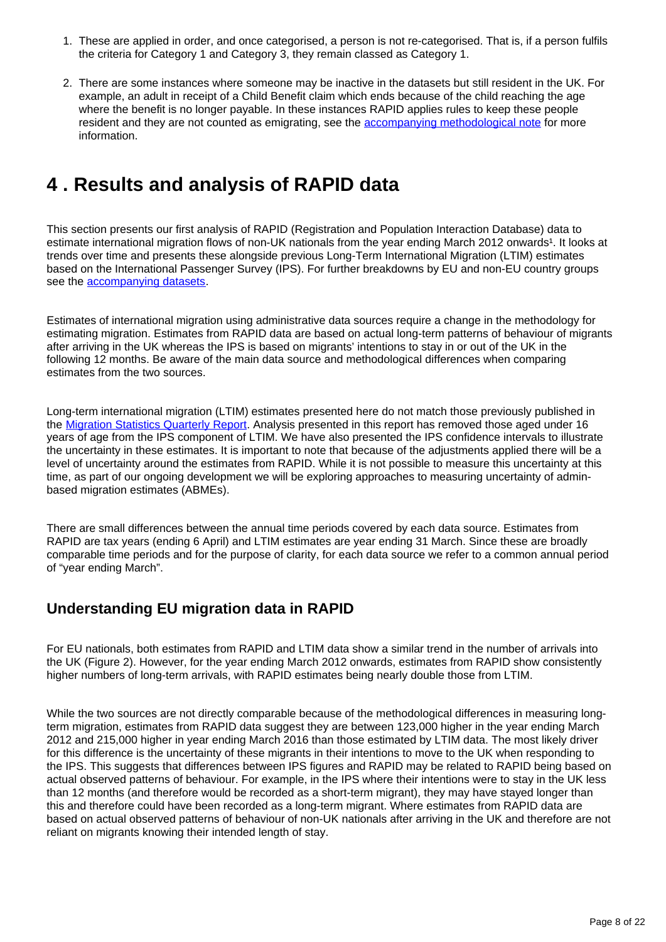- 1. These are applied in order, and once categorised, a person is not re-categorised. That is, if a person fulfils the criteria for Category 1 and Category 3, they remain classed as Category 1.
- 2. There are some instances where someone may be inactive in the datasets but still resident in the UK. For example, an adult in receipt of a Child Benefit claim which ends because of the child reaching the age where the benefit is no longer payable. In these instances RAPID applies rules to keep these people resident and they are not counted as emigrating, see the [accompanying methodological note](https://www.ons.gov.uk/peoplepopulationandcommunity/populationandmigration/internationalmigration/methodologies/methodsformeasuringinternationalmigrationusingrapidadministrativedata) for more information.

# <span id="page-7-0"></span>**4 . Results and analysis of RAPID data**

This section presents our first analysis of RAPID (Registration and Population Interaction Database) data to estimate international migration flows of non-UK nationals from the year ending March 2012 onwards<sup>1</sup>. It looks at trends over time and presents these alongside previous Long-Term International Migration (LTIM) estimates based on the International Passenger Survey (IPS). For further breakdowns by EU and non-EU country groups see the **accompanying datasets**.

Estimates of international migration using administrative data sources require a change in the methodology for estimating migration. Estimates from RAPID data are based on actual long-term patterns of behaviour of migrants after arriving in the UK whereas the IPS is based on migrants' intentions to stay in or out of the UK in the following 12 months. Be aware of the main data source and methodological differences when comparing estimates from the two sources.

Long-term international migration (LTIM) estimates presented here do not match those previously published in the [Migration Statistics Quarterly Report.](http://www.ons.gov.uk/peoplepopulationandcommunity/populationandmigration/internationalmigration/bulletins/migrationstatisticsquarterlyreport/august2020) Analysis presented in this report has removed those aged under 16 years of age from the IPS component of LTIM. We have also presented the IPS confidence intervals to illustrate the uncertainty in these estimates. It is important to note that because of the adjustments applied there will be a level of uncertainty around the estimates from RAPID. While it is not possible to measure this uncertainty at this time, as part of our ongoing development we will be exploring approaches to measuring uncertainty of adminbased migration estimates (ABMEs).

There are small differences between the annual time periods covered by each data source. Estimates from RAPID are tax years (ending 6 April) and LTIM estimates are year ending 31 March. Since these are broadly comparable time periods and for the purpose of clarity, for each data source we refer to a common annual period of "year ending March".

# **Understanding EU migration data in RAPID**

For EU nationals, both estimates from RAPID and LTIM data show a similar trend in the number of arrivals into the UK (Figure 2). However, for the year ending March 2012 onwards, estimates from RAPID show consistently higher numbers of long-term arrivals, with RAPID estimates being nearly double those from LTIM.

While the two sources are not directly comparable because of the methodological differences in measuring longterm migration, estimates from RAPID data suggest they are between 123,000 higher in the year ending March 2012 and 215,000 higher in year ending March 2016 than those estimated by LTIM data. The most likely driver for this difference is the uncertainty of these migrants in their intentions to move to the UK when responding to the IPS. This suggests that differences between IPS figures and RAPID may be related to RAPID being based on actual observed patterns of behaviour. For example, in the IPS where their intentions were to stay in the UK less than 12 months (and therefore would be recorded as a short-term migrant), they may have stayed longer than this and therefore could have been recorded as a long-term migrant. Where estimates from RAPID data are based on actual observed patterns of behaviour of non-UK nationals after arriving in the UK and therefore are not reliant on migrants knowing their intended length of stay.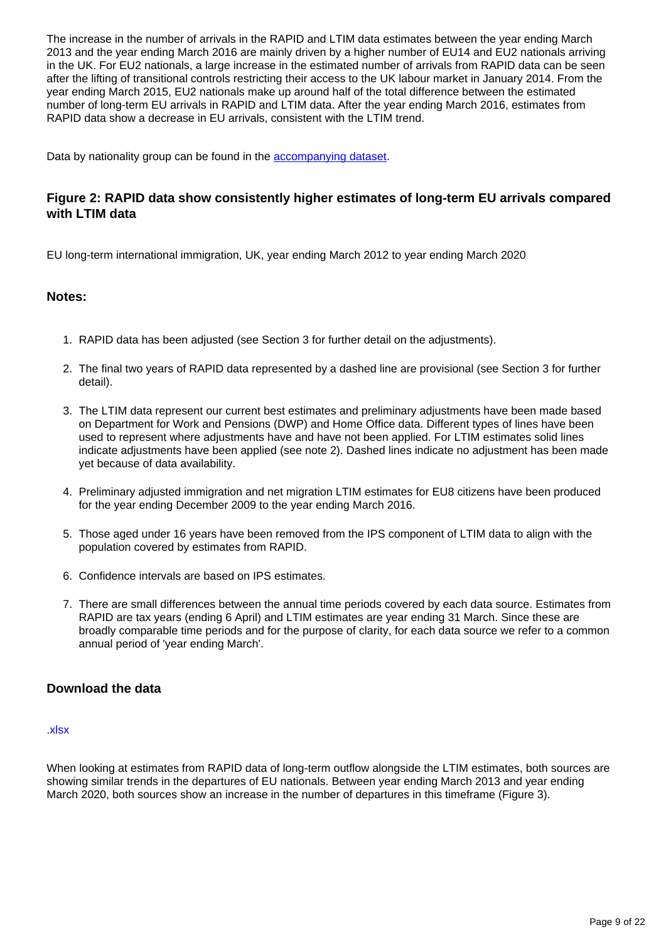The increase in the number of arrivals in the RAPID and LTIM data estimates between the year ending March 2013 and the year ending March 2016 are mainly driven by a higher number of EU14 and EU2 nationals arriving in the UK. For EU2 nationals, a large increase in the estimated number of arrivals from RAPID data can be seen after the lifting of transitional controls restricting their access to the UK labour market in January 2014. From the year ending March 2015, EU2 nationals make up around half of the total difference between the estimated number of long-term EU arrivals in RAPID and LTIM data. After the year ending March 2016, estimates from RAPID data show a decrease in EU arrivals, consistent with the LTIM trend.

Data by nationality group can be found in the [accompanying dataset.](https://www.ons.gov.uk/peoplepopulationandcommunity/populationandmigration/internationalmigration/datasets/estimatinglongterminternationalmigrationusingrapid)

## **Figure 2: RAPID data show consistently higher estimates of long-term EU arrivals compared with LTIM data**

EU long-term international immigration, UK, year ending March 2012 to year ending March 2020

### **Notes:**

- 1. RAPID data has been adjusted (see Section 3 for further detail on the adjustments).
- 2. The final two years of RAPID data represented by a dashed line are provisional (see Section 3 for further detail).
- 3. The LTIM data represent our current best estimates and preliminary adjustments have been made based on Department for Work and Pensions (DWP) and Home Office data. Different types of lines have been used to represent where adjustments have and have not been applied. For LTIM estimates solid lines indicate adjustments have been applied (see note 2). Dashed lines indicate no adjustment has been made yet because of data availability.
- 4. Preliminary adjusted immigration and net migration LTIM estimates for EU8 citizens have been produced for the year ending December 2009 to the year ending March 2016.
- 5. Those aged under 16 years have been removed from the IPS component of LTIM data to align with the population covered by estimates from RAPID.
- 6. Confidence intervals are based on IPS estimates.
- 7. There are small differences between the annual time periods covered by each data source. Estimates from RAPID are tax years (ending 6 April) and LTIM estimates are year ending 31 March. Since these are broadly comparable time periods and for the purpose of clarity, for each data source we refer to a common annual period of 'year ending March'.

## **Download the data**

#### [.xlsx](https://www.ons.gov.uk/visualisations/dvc1179/fig02/datadownload.xlsx)

When looking at estimates from RAPID data of long-term outflow alongside the LTIM estimates, both sources are showing similar trends in the departures of EU nationals. Between year ending March 2013 and year ending March 2020, both sources show an increase in the number of departures in this timeframe (Figure 3).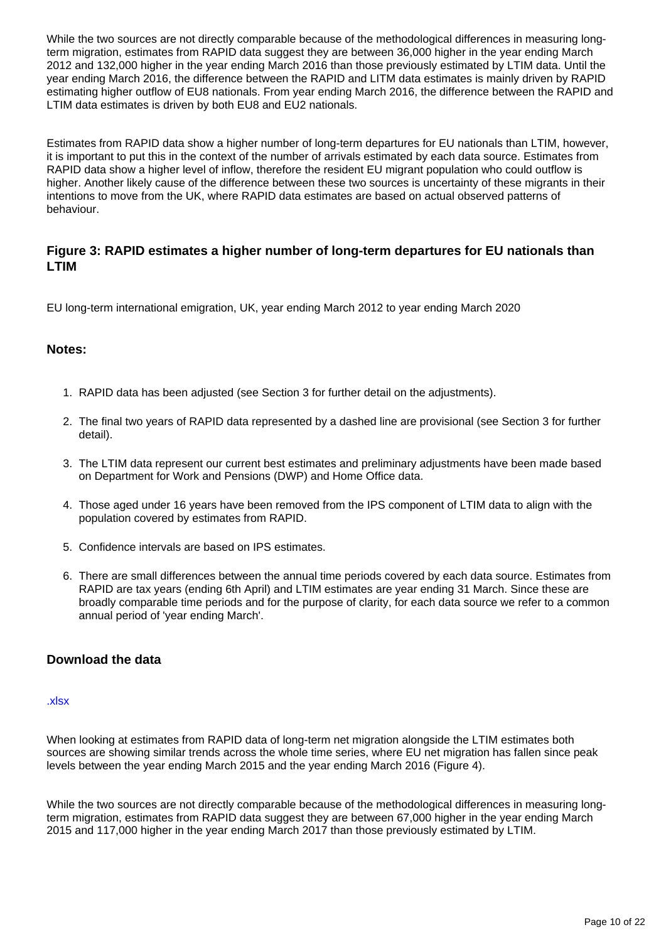While the two sources are not directly comparable because of the methodological differences in measuring longterm migration, estimates from RAPID data suggest they are between 36,000 higher in the year ending March 2012 and 132,000 higher in the year ending March 2016 than those previously estimated by LTIM data. Until the year ending March 2016, the difference between the RAPID and LITM data estimates is mainly driven by RAPID estimating higher outflow of EU8 nationals. From year ending March 2016, the difference between the RAPID and LTIM data estimates is driven by both EU8 and EU2 nationals.

Estimates from RAPID data show a higher number of long-term departures for EU nationals than LTIM, however, it is important to put this in the context of the number of arrivals estimated by each data source. Estimates from RAPID data show a higher level of inflow, therefore the resident EU migrant population who could outflow is higher. Another likely cause of the difference between these two sources is uncertainty of these migrants in their intentions to move from the UK, where RAPID data estimates are based on actual observed patterns of behaviour.

## **Figure 3: RAPID estimates a higher number of long-term departures for EU nationals than LTIM**

EU long-term international emigration, UK, year ending March 2012 to year ending March 2020

## **Notes:**

- 1. RAPID data has been adjusted (see Section 3 for further detail on the adjustments).
- 2. The final two years of RAPID data represented by a dashed line are provisional (see Section 3 for further detail).
- 3. The LTIM data represent our current best estimates and preliminary adjustments have been made based on Department for Work and Pensions (DWP) and Home Office data.
- 4. Those aged under 16 years have been removed from the IPS component of LTIM data to align with the population covered by estimates from RAPID.
- 5. Confidence intervals are based on IPS estimates.
- 6. There are small differences between the annual time periods covered by each data source. Estimates from RAPID are tax years (ending 6th April) and LTIM estimates are year ending 31 March. Since these are broadly comparable time periods and for the purpose of clarity, for each data source we refer to a common annual period of 'year ending March'.

## **Download the data**

#### [.xlsx](https://www.ons.gov.uk/visualisations/dvc1179/fig03/datadownload.xlsx)

When looking at estimates from RAPID data of long-term net migration alongside the LTIM estimates both sources are showing similar trends across the whole time series, where EU net migration has fallen since peak levels between the year ending March 2015 and the year ending March 2016 (Figure 4).

While the two sources are not directly comparable because of the methodological differences in measuring longterm migration, estimates from RAPID data suggest they are between 67,000 higher in the year ending March 2015 and 117,000 higher in the year ending March 2017 than those previously estimated by LTIM.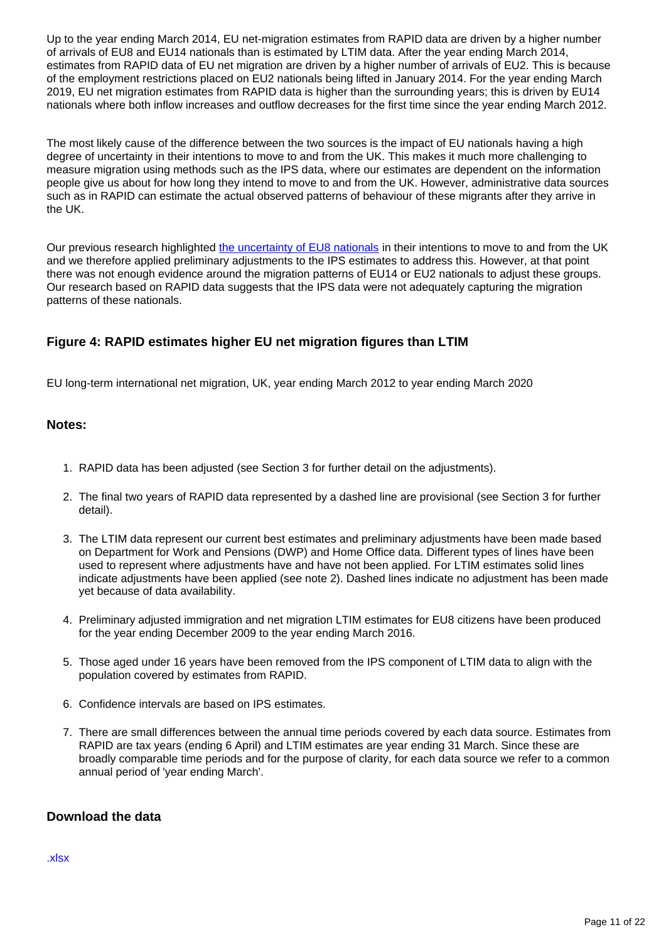Up to the year ending March 2014, EU net-migration estimates from RAPID data are driven by a higher number of arrivals of EU8 and EU14 nationals than is estimated by LTIM data. After the year ending March 2014, estimates from RAPID data of EU net migration are driven by a higher number of arrivals of EU2. This is because of the employment restrictions placed on EU2 nationals being lifted in January 2014. For the year ending March 2019, EU net migration estimates from RAPID data is higher than the surrounding years; this is driven by EU14 nationals where both inflow increases and outflow decreases for the first time since the year ending March 2012.

The most likely cause of the difference between the two sources is the impact of EU nationals having a high degree of uncertainty in their intentions to move to and from the UK. This makes it much more challenging to measure migration using methods such as the IPS data, where our estimates are dependent on the information people give us about for how long they intend to move to and from the UK. However, administrative data sources such as in RAPID can estimate the actual observed patterns of behaviour of these migrants after they arrive in the UK.

Our previous research highlighted [the uncertainty of EU8 nationals](https://www.ons.gov.uk/peoplepopulationandcommunity/populationandmigration/internationalmigration/articles/understandingdifferentmigrationdatasources/augustprogressreport) in their intentions to move to and from the UK and we therefore applied preliminary adjustments to the IPS estimates to address this. However, at that point there was not enough evidence around the migration patterns of EU14 or EU2 nationals to adjust these groups. Our research based on RAPID data suggests that the IPS data were not adequately capturing the migration patterns of these nationals.

## **Figure 4: RAPID estimates higher EU net migration figures than LTIM**

EU long-term international net migration, UK, year ending March 2012 to year ending March 2020

## **Notes:**

- 1. RAPID data has been adjusted (see Section 3 for further detail on the adjustments).
- 2. The final two years of RAPID data represented by a dashed line are provisional (see Section 3 for further detail).
- 3. The LTIM data represent our current best estimates and preliminary adjustments have been made based on Department for Work and Pensions (DWP) and Home Office data. Different types of lines have been used to represent where adjustments have and have not been applied. For LTIM estimates solid lines indicate adjustments have been applied (see note 2). Dashed lines indicate no adjustment has been made yet because of data availability.
- 4. Preliminary adjusted immigration and net migration LTIM estimates for EU8 citizens have been produced for the year ending December 2009 to the year ending March 2016.
- 5. Those aged under 16 years have been removed from the IPS component of LTIM data to align with the population covered by estimates from RAPID.
- 6. Confidence intervals are based on IPS estimates.
- 7. There are small differences between the annual time periods covered by each data source. Estimates from RAPID are tax years (ending 6 April) and LTIM estimates are year ending 31 March. Since these are broadly comparable time periods and for the purpose of clarity, for each data source we refer to a common annual period of 'year ending March'.

## **Download the data**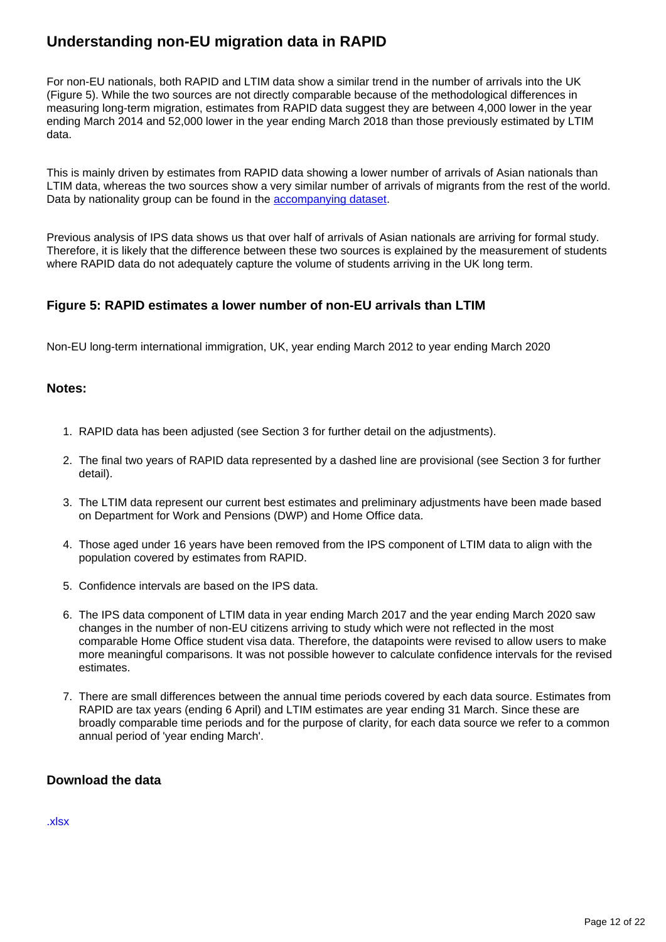# **Understanding non-EU migration data in RAPID**

For non-EU nationals, both RAPID and LTIM data show a similar trend in the number of arrivals into the UK (Figure 5). While the two sources are not directly comparable because of the methodological differences in measuring long-term migration, estimates from RAPID data suggest they are between 4,000 lower in the year ending March 2014 and 52,000 lower in the year ending March 2018 than those previously estimated by LTIM data.

This is mainly driven by estimates from RAPID data showing a lower number of arrivals of Asian nationals than LTIM data, whereas the two sources show a very similar number of arrivals of migrants from the rest of the world. Data by nationality group can be found in the **accompanying dataset**.

Previous analysis of IPS data shows us that over half of arrivals of Asian nationals are arriving for formal study. Therefore, it is likely that the difference between these two sources is explained by the measurement of students where RAPID data do not adequately capture the volume of students arriving in the UK long term.

## **Figure 5: RAPID estimates a lower number of non-EU arrivals than LTIM**

Non-EU long-term international immigration, UK, year ending March 2012 to year ending March 2020

### **Notes:**

- 1. RAPID data has been adjusted (see Section 3 for further detail on the adjustments).
- 2. The final two years of RAPID data represented by a dashed line are provisional (see Section 3 for further detail).
- 3. The LTIM data represent our current best estimates and preliminary adjustments have been made based on Department for Work and Pensions (DWP) and Home Office data.
- 4. Those aged under 16 years have been removed from the IPS component of LTIM data to align with the population covered by estimates from RAPID.
- 5. Confidence intervals are based on the IPS data.
- 6. The IPS data component of LTIM data in year ending March 2017 and the year ending March 2020 saw changes in the number of non-EU citizens arriving to study which were not reflected in the most comparable Home Office student visa data. Therefore, the datapoints were revised to allow users to make more meaningful comparisons. It was not possible however to calculate confidence intervals for the revised estimates.
- 7. There are small differences between the annual time periods covered by each data source. Estimates from RAPID are tax years (ending 6 April) and LTIM estimates are year ending 31 March. Since these are broadly comparable time periods and for the purpose of clarity, for each data source we refer to a common annual period of 'year ending March'.

## **Download the data**

[.xlsx](https://www.ons.gov.uk/visualisations/dvc1179/fig05/datadownload.xlsx)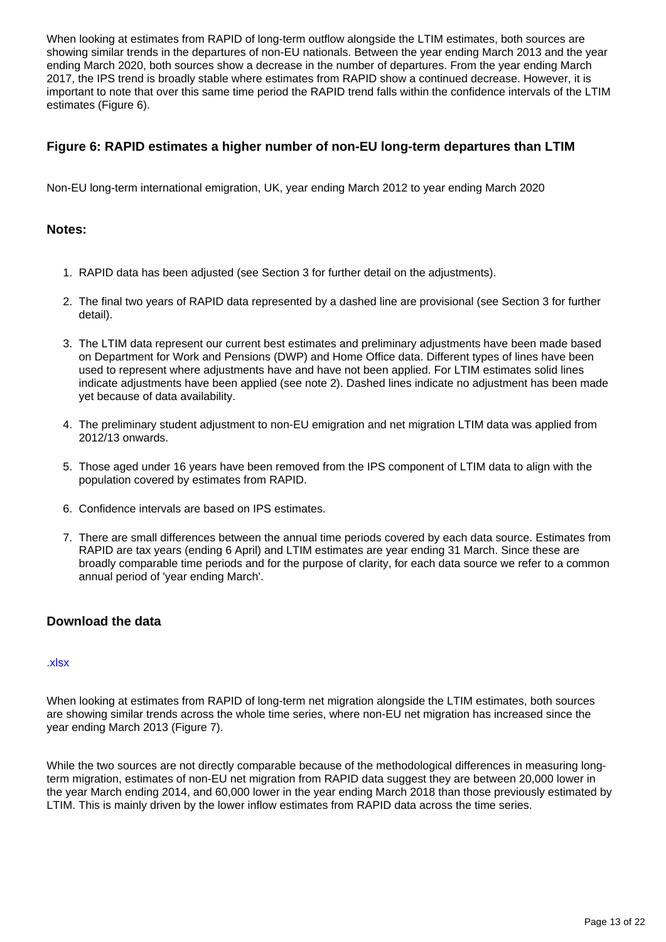When looking at estimates from RAPID of long-term outflow alongside the LTIM estimates, both sources are showing similar trends in the departures of non-EU nationals. Between the year ending March 2013 and the year ending March 2020, both sources show a decrease in the number of departures. From the year ending March 2017, the IPS trend is broadly stable where estimates from RAPID show a continued decrease. However, it is important to note that over this same time period the RAPID trend falls within the confidence intervals of the LTIM estimates (Figure 6).

## **Figure 6: RAPID estimates a higher number of non-EU long-term departures than LTIM**

Non-EU long-term international emigration, UK, year ending March 2012 to year ending March 2020

### **Notes:**

- 1. RAPID data has been adjusted (see Section 3 for further detail on the adjustments).
- 2. The final two years of RAPID data represented by a dashed line are provisional (see Section 3 for further detail).
- 3. The LTIM data represent our current best estimates and preliminary adjustments have been made based on Department for Work and Pensions (DWP) and Home Office data. Different types of lines have been used to represent where adjustments have and have not been applied. For LTIM estimates solid lines indicate adjustments have been applied (see note 2). Dashed lines indicate no adjustment has been made yet because of data availability.
- 4. The preliminary student adjustment to non-EU emigration and net migration LTIM data was applied from 2012/13 onwards.
- 5. Those aged under 16 years have been removed from the IPS component of LTIM data to align with the population covered by estimates from RAPID.
- 6. Confidence intervals are based on IPS estimates.
- 7. There are small differences between the annual time periods covered by each data source. Estimates from RAPID are tax years (ending 6 April) and LTIM estimates are year ending 31 March. Since these are broadly comparable time periods and for the purpose of clarity, for each data source we refer to a common annual period of 'year ending March'.

## **Download the data**

#### [.xlsx](https://www.ons.gov.uk/visualisations/dvc1179/fig06/datadownload.xlsx)

When looking at estimates from RAPID of long-term net migration alongside the LTIM estimates, both sources are showing similar trends across the whole time series, where non-EU net migration has increased since the year ending March 2013 (Figure 7).

While the two sources are not directly comparable because of the methodological differences in measuring longterm migration, estimates of non-EU net migration from RAPID data suggest they are between 20,000 lower in the year March ending 2014, and 60,000 lower in the year ending March 2018 than those previously estimated by LTIM. This is mainly driven by the lower inflow estimates from RAPID data across the time series.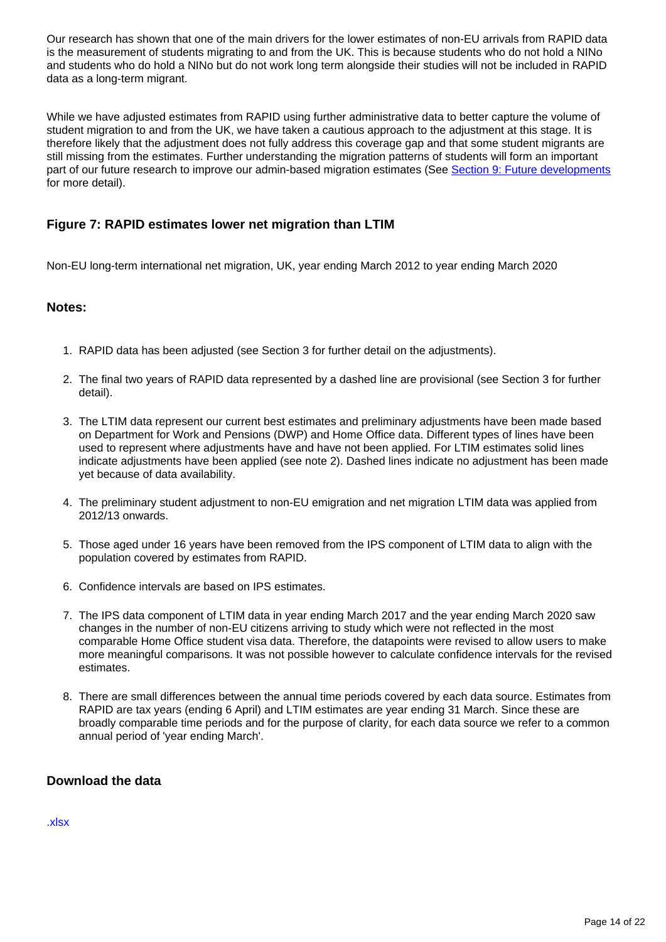Our research has shown that one of the main drivers for the lower estimates of non-EU arrivals from RAPID data is the measurement of students migrating to and from the UK. This is because students who do not hold a NINo and students who do hold a NINo but do not work long term alongside their studies will not be included in RAPID data as a long-term migrant.

While we have adjusted estimates from RAPID using further administrative data to better capture the volume of student migration to and from the UK, we have taken a cautious approach to the adjustment at this stage. It is therefore likely that the adjustment does not fully address this coverage gap and that some student migrants are still missing from the estimates. Further understanding the migration patterns of students will form an important part of our future research to improve our admin-based migration estimates (See [Section 9: Future developments](https://www.ons.gov.uk/peoplepopulationandcommunity/populationandmigration/internationalmigration/articles/internationalmigrationdevelopingourapproachforproducingadminbasedmigrationestimates/2021-04-16#future-developments) for more detail).

## **Figure 7: RAPID estimates lower net migration than LTIM**

Non-EU long-term international net migration, UK, year ending March 2012 to year ending March 2020

## **Notes:**

- 1. RAPID data has been adjusted (see Section 3 for further detail on the adjustments).
- 2. The final two years of RAPID data represented by a dashed line are provisional (see Section 3 for further detail).
- 3. The LTIM data represent our current best estimates and preliminary adjustments have been made based on Department for Work and Pensions (DWP) and Home Office data. Different types of lines have been used to represent where adjustments have and have not been applied. For LTIM estimates solid lines indicate adjustments have been applied (see note 2). Dashed lines indicate no adjustment has been made yet because of data availability.
- 4. The preliminary student adjustment to non-EU emigration and net migration LTIM data was applied from 2012/13 onwards.
- 5. Those aged under 16 years have been removed from the IPS component of LTIM data to align with the population covered by estimates from RAPID.
- 6. Confidence intervals are based on IPS estimates.
- 7. The IPS data component of LTIM data in year ending March 2017 and the year ending March 2020 saw changes in the number of non-EU citizens arriving to study which were not reflected in the most comparable Home Office student visa data. Therefore, the datapoints were revised to allow users to make more meaningful comparisons. It was not possible however to calculate confidence intervals for the revised estimates.
- 8. There are small differences between the annual time periods covered by each data source. Estimates from RAPID are tax years (ending 6 April) and LTIM estimates are year ending 31 March. Since these are broadly comparable time periods and for the purpose of clarity, for each data source we refer to a common annual period of 'year ending March'.

## **Download the data**

[.xlsx](https://www.ons.gov.uk/visualisations/dvc1179/fig07/datadownload.xlsx)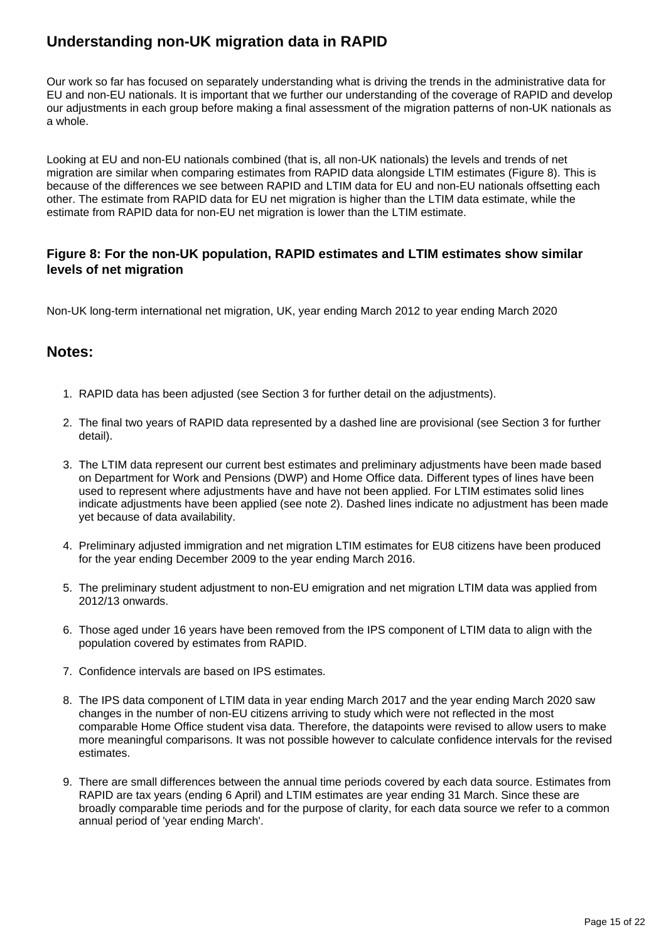# **Understanding non-UK migration data in RAPID**

Our work so far has focused on separately understanding what is driving the trends in the administrative data for EU and non-EU nationals. It is important that we further our understanding of the coverage of RAPID and develop our adjustments in each group before making a final assessment of the migration patterns of non-UK nationals as a whole.

Looking at EU and non-EU nationals combined (that is, all non-UK nationals) the levels and trends of net migration are similar when comparing estimates from RAPID data alongside LTIM estimates (Figure 8). This is because of the differences we see between RAPID and LTIM data for EU and non-EU nationals offsetting each other. The estimate from RAPID data for EU net migration is higher than the LTIM data estimate, while the estimate from RAPID data for non-EU net migration is lower than the LTIM estimate.

## **Figure 8: For the non-UK population, RAPID estimates and LTIM estimates show similar levels of net migration**

Non-UK long-term international net migration, UK, year ending March 2012 to year ending March 2020

# **Notes:**

- 1. RAPID data has been adjusted (see Section 3 for further detail on the adjustments).
- 2. The final two years of RAPID data represented by a dashed line are provisional (see Section 3 for further detail).
- 3. The LTIM data represent our current best estimates and preliminary adjustments have been made based on Department for Work and Pensions (DWP) and Home Office data. Different types of lines have been used to represent where adjustments have and have not been applied. For LTIM estimates solid lines indicate adjustments have been applied (see note 2). Dashed lines indicate no adjustment has been made yet because of data availability.
- 4. Preliminary adjusted immigration and net migration LTIM estimates for EU8 citizens have been produced for the year ending December 2009 to the year ending March 2016.
- 5. The preliminary student adjustment to non-EU emigration and net migration LTIM data was applied from 2012/13 onwards.
- 6. Those aged under 16 years have been removed from the IPS component of LTIM data to align with the population covered by estimates from RAPID.
- 7. Confidence intervals are based on IPS estimates.
- 8. The IPS data component of LTIM data in year ending March 2017 and the year ending March 2020 saw changes in the number of non-EU citizens arriving to study which were not reflected in the most comparable Home Office student visa data. Therefore, the datapoints were revised to allow users to make more meaningful comparisons. It was not possible however to calculate confidence intervals for the revised estimates.
- 9. There are small differences between the annual time periods covered by each data source. Estimates from RAPID are tax years (ending 6 April) and LTIM estimates are year ending 31 March. Since these are broadly comparable time periods and for the purpose of clarity, for each data source we refer to a common annual period of 'year ending March'.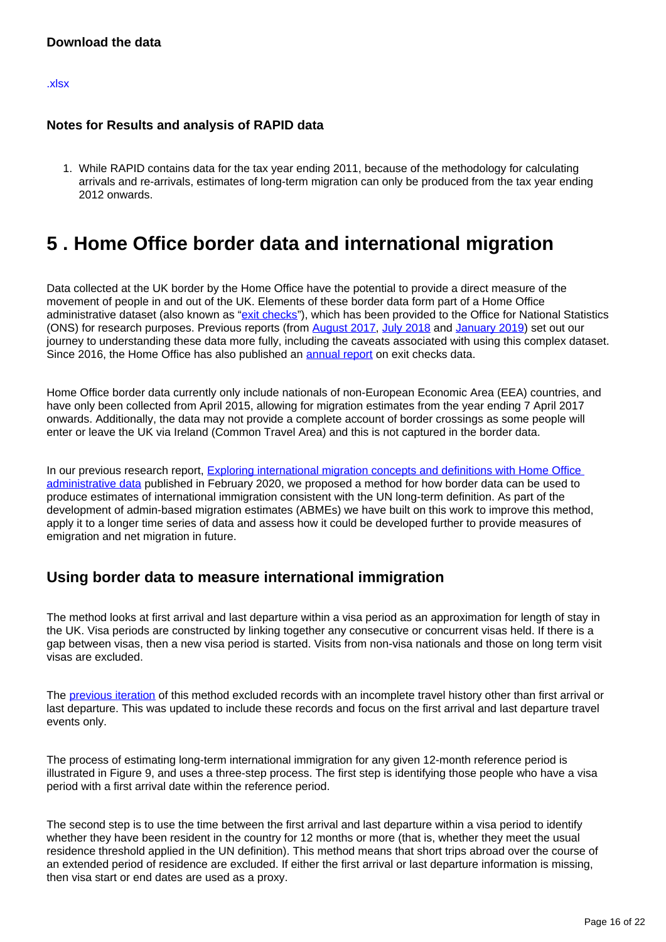### **Download the data**

#### [.xlsx](https://www.ons.gov.uk/visualisations/dvc1179/fig08/datadownload.xlsx)

### **Notes for Results and analysis of RAPID data**

1. While RAPID contains data for the tax year ending 2011, because of the methodology for calculating arrivals and re-arrivals, estimates of long-term migration can only be produced from the tax year ending 2012 onwards.

# <span id="page-15-0"></span>**5 . Home Office border data and international migration**

Data collected at the UK border by the Home Office have the potential to provide a direct measure of the movement of people in and out of the UK. Elements of these border data form part of a Home Office administrative dataset (also known as "[exit checks"](https://www.gov.uk/government/publications/home-office-statistics-on-exit-checks-user-guide/home-office-statistics-on-exit-checks-user-guide)), which has been provided to the Office for National Statistics (ONS) for research purposes. Previous reports (from [August 2017](https://www.ons.gov.uk/peoplepopulationandcommunity/populationandmigration/internationalmigration/articles/internationalstudentmigrationresearchupdate/august2017), [July 2018](https://www.ons.gov.uk/peoplepopulationandcommunity/populationandmigration/internationalmigration/articles/reportonthecomplexityandqualityofinternationalmigrationstatistics/july2018) and [January 2019\)](https://www.ons.gov.uk/peoplepopulationandcommunity/populationandmigration/internationalmigration/articles/updateonourpopulationandmigrationstatisticstransformationjourneyaresearchengagementreport/2019-01-30) set out our journey to understanding these data more fully, including the caveats associated with using this complex dataset. Since 2016, the Home Office has also published an [annual report](https://www.gov.uk/government/statistics/fifth-report-on-statistics-relating-to-exit-checks) on exit checks data.

Home Office border data currently only include nationals of non-European Economic Area (EEA) countries, and have only been collected from April 2015, allowing for migration estimates from the year ending 7 April 2017 onwards. Additionally, the data may not provide a complete account of border crossings as some people will enter or leave the UK via Ireland (Common Travel Area) and this is not captured in the border data.

In our previous research report, Exploring international migration concepts and definitions with Home Office [administrative data](https://www.ons.gov.uk/peoplepopulationandcommunity/populationandmigration/internationalmigration/articles/exploringinternationalmigrationconceptsanddefinitionswithhomeofficeadministrativedata/2020-02-14) published in February 2020, we proposed a method for how border data can be used to produce estimates of international immigration consistent with the UN long-term definition. As part of the development of admin-based migration estimates (ABMEs) we have built on this work to improve this method, apply it to a longer time series of data and assess how it could be developed further to provide measures of emigration and net migration in future.

# **Using border data to measure international immigration**

The method looks at first arrival and last departure within a visa period as an approximation for length of stay in the UK. Visa periods are constructed by linking together any consecutive or concurrent visas held. If there is a gap between visas, then a new visa period is started. Visits from non-visa nationals and those on long term visit visas are excluded.

The [previous iteration](https://www.ons.gov.uk/peoplepopulationandcommunity/populationandmigration/internationalmigration/articles/exploringinternationalmigrationconceptsanddefinitionswithhomeofficeadministrativedata/2020-02-14#applying-un-long-term-international-migration-definition-to-home-office-exit-checks-data) of this method excluded records with an incomplete travel history other than first arrival or last departure. This was updated to include these records and focus on the first arrival and last departure travel events only.

The process of estimating long-term international immigration for any given 12-month reference period is illustrated in Figure 9, and uses a three-step process. The first step is identifying those people who have a visa period with a first arrival date within the reference period.

The second step is to use the time between the first arrival and last departure within a visa period to identify whether they have been resident in the country for 12 months or more (that is, whether they meet the usual residence threshold applied in the UN definition). This method means that short trips abroad over the course of an extended period of residence are excluded. If either the first arrival or last departure information is missing, then visa start or end dates are used as a proxy.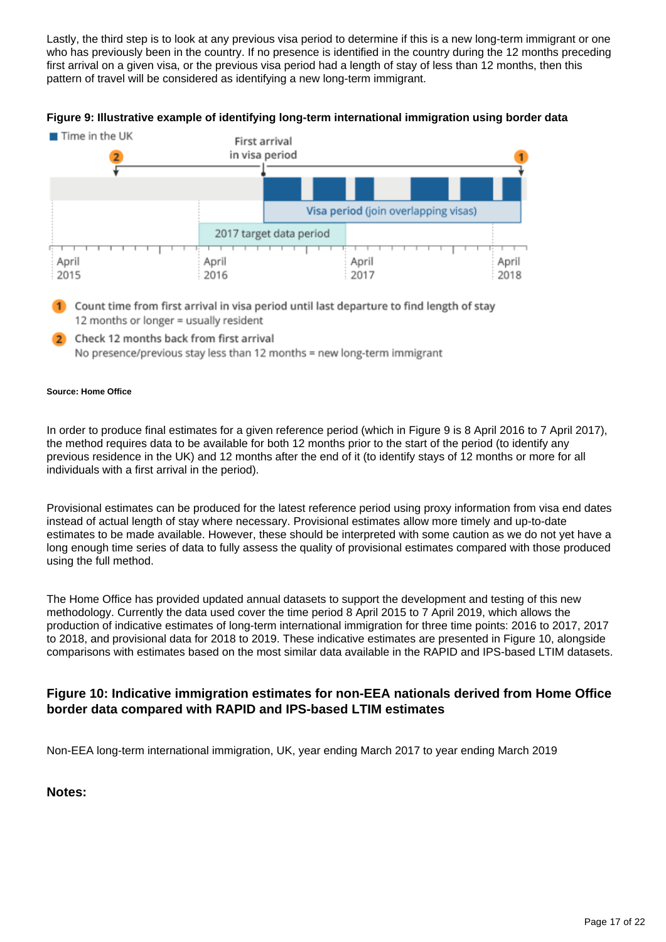Lastly, the third step is to look at any previous visa period to determine if this is a new long-term immigrant or one who has previously been in the country. If no presence is identified in the country during the 12 months preceding first arrival on a given visa, or the previous visa period had a length of stay of less than 12 months, then this pattern of travel will be considered as identifying a new long-term immigrant.





- 1 Count time from first arrival in visa period until last departure to find length of stay 12 months or longer = usually resident
- Check 12 months back from first arrival No presence/previous stay less than 12 months = new long-term immigrant

#### **Source: Home Office**

In order to produce final estimates for a given reference period (which in Figure 9 is 8 April 2016 to 7 April 2017), the method requires data to be available for both 12 months prior to the start of the period (to identify any previous residence in the UK) and 12 months after the end of it (to identify stays of 12 months or more for all individuals with a first arrival in the period).

Provisional estimates can be produced for the latest reference period using proxy information from visa end dates instead of actual length of stay where necessary. Provisional estimates allow more timely and up-to-date estimates to be made available. However, these should be interpreted with some caution as we do not yet have a long enough time series of data to fully assess the quality of provisional estimates compared with those produced using the full method.

The Home Office has provided updated annual datasets to support the development and testing of this new methodology. Currently the data used cover the time period 8 April 2015 to 7 April 2019, which allows the production of indicative estimates of long-term international immigration for three time points: 2016 to 2017, 2017 to 2018, and provisional data for 2018 to 2019. These indicative estimates are presented in Figure 10, alongside comparisons with estimates based on the most similar data available in the RAPID and IPS-based LTIM datasets.

## **Figure 10: Indicative immigration estimates for non-EEA nationals derived from Home Office border data compared with RAPID and IPS-based LTIM estimates**

Non-EEA long-term international immigration, UK, year ending March 2017 to year ending March 2019

## **Notes:**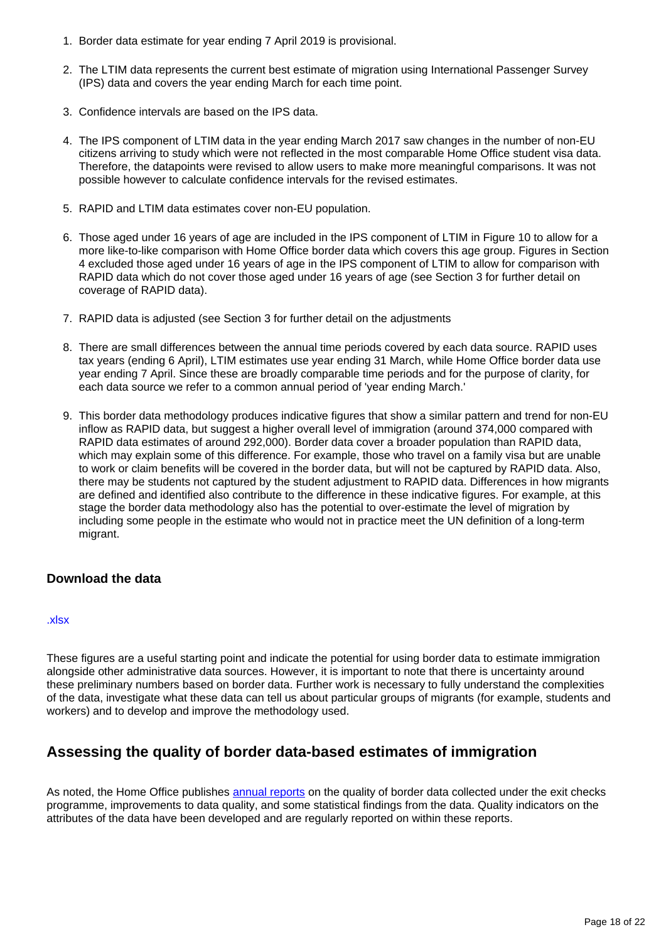- 1. Border data estimate for year ending 7 April 2019 is provisional.
- 2. The LTIM data represents the current best estimate of migration using International Passenger Survey (IPS) data and covers the year ending March for each time point.
- 3. Confidence intervals are based on the IPS data.
- 4. The IPS component of LTIM data in the year ending March 2017 saw changes in the number of non-EU citizens arriving to study which were not reflected in the most comparable Home Office student visa data. Therefore, the datapoints were revised to allow users to make more meaningful comparisons. It was not possible however to calculate confidence intervals for the revised estimates.
- 5. RAPID and LTIM data estimates cover non-EU population.
- 6. Those aged under 16 years of age are included in the IPS component of LTIM in Figure 10 to allow for a more like-to-like comparison with Home Office border data which covers this age group. Figures in Section 4 excluded those aged under 16 years of age in the IPS component of LTIM to allow for comparison with RAPID data which do not cover those aged under 16 years of age (see Section 3 for further detail on coverage of RAPID data).
- 7. RAPID data is adjusted (see Section 3 for further detail on the adjustments
- 8. There are small differences between the annual time periods covered by each data source. RAPID uses tax years (ending 6 April), LTIM estimates use year ending 31 March, while Home Office border data use year ending 7 April. Since these are broadly comparable time periods and for the purpose of clarity, for each data source we refer to a common annual period of 'year ending March.'
- 9. This border data methodology produces indicative figures that show a similar pattern and trend for non-EU inflow as RAPID data, but suggest a higher overall level of immigration (around 374,000 compared with RAPID data estimates of around 292,000). Border data cover a broader population than RAPID data, which may explain some of this difference. For example, those who travel on a family visa but are unable to work or claim benefits will be covered in the border data, but will not be captured by RAPID data. Also, there may be students not captured by the student adjustment to RAPID data. Differences in how migrants are defined and identified also contribute to the difference in these indicative figures. For example, at this stage the border data methodology also has the potential to over-estimate the level of migration by including some people in the estimate who would not in practice meet the UN definition of a long-term migrant.

### **Download the data**

#### [.xlsx](https://www.ons.gov.uk/visualisations/dvc1179/fig10/datadownload.xlsx)

These figures are a useful starting point and indicate the potential for using border data to estimate immigration alongside other administrative data sources. However, it is important to note that there is uncertainty around these preliminary numbers based on border data. Further work is necessary to fully understand the complexities of the data, investigate what these data can tell us about particular groups of migrants (for example, students and workers) and to develop and improve the methodology used.

# **Assessing the quality of border data-based estimates of immigration**

As noted, the Home Office publishes [annual reports](https://www.gov.uk/government/statistics/fifth-report-on-statistics-relating-to-exit-checks) on the quality of border data collected under the exit checks programme, improvements to data quality, and some statistical findings from the data. Quality indicators on the attributes of the data have been developed and are regularly reported on within these reports.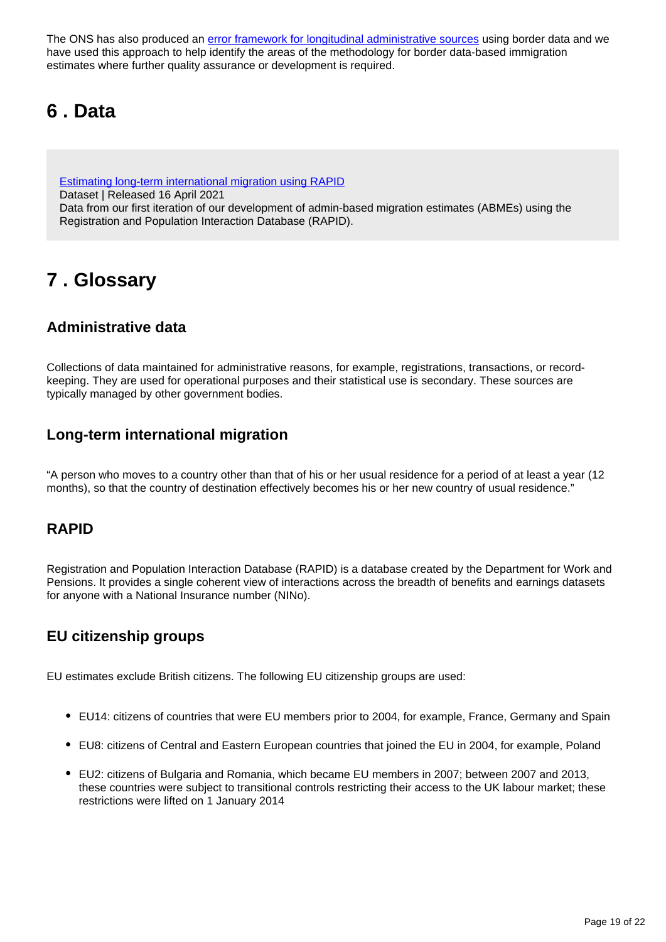The ONS has also produced an [error framework for longitudinal administrative sources](https://www.ons.gov.uk/methodology/methodologicalpublications/generalmethodology/onsworkingpaperseries/onsworkingpaperseriesno19anerrorframeworkforlongitudinaladministrativesourcesitsuseforunderstandingthestatisticalpropertiesofdataforinternationalmigration) using border data and we have used this approach to help identify the areas of the methodology for border data-based immigration estimates where further quality assurance or development is required.

# <span id="page-18-0"></span>**6 . Data**

[Estimating long-term international migration using RAPID](https://www.ons.gov.uk/peoplepopulationandcommunity/populationandmigration/internationalmigration/datasets/estimatinglongterminternationalmigrationusingrapid) Dataset | Released 16 April 2021 Data from our first iteration of our development of admin-based migration estimates (ABMEs) using the Registration and Population Interaction Database (RAPID).

# <span id="page-18-1"></span>**7 . Glossary**

# **Administrative data**

Collections of data maintained for administrative reasons, for example, registrations, transactions, or recordkeeping. They are used for operational purposes and their statistical use is secondary. These sources are typically managed by other government bodies.

# **Long-term international migration**

"A person who moves to a country other than that of his or her usual residence for a period of at least a year (12 months), so that the country of destination effectively becomes his or her new country of usual residence."

# **RAPID**

Registration and Population Interaction Database (RAPID) is a database created by the Department for Work and Pensions. It provides a single coherent view of interactions across the breadth of benefits and earnings datasets for anyone with a National Insurance number (NINo).

# **EU citizenship groups**

EU estimates exclude British citizens. The following EU citizenship groups are used:

- EU14: citizens of countries that were EU members prior to 2004, for example, France, Germany and Spain
- EU8: citizens of Central and Eastern European countries that joined the EU in 2004, for example, Poland
- EU2: citizens of Bulgaria and Romania, which became EU members in 2007; between 2007 and 2013, these countries were subject to transitional controls restricting their access to the UK labour market; these restrictions were lifted on 1 January 2014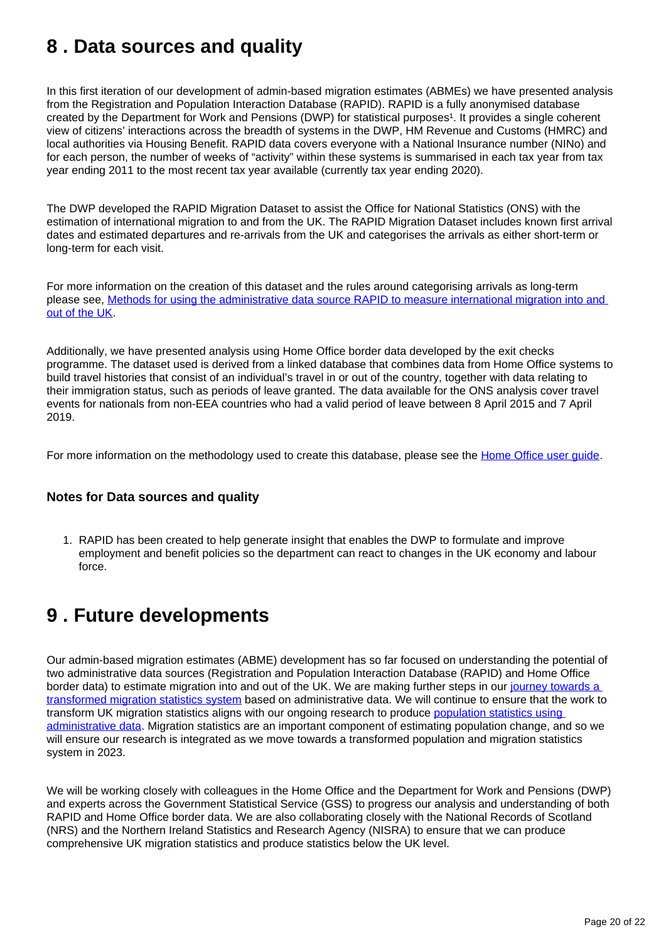# <span id="page-19-0"></span>**8 . Data sources and quality**

In this first iteration of our development of admin-based migration estimates (ABMEs) we have presented analysis from the Registration and Population Interaction Database (RAPID). RAPID is a fully anonymised database created by the Department for Work and Pensions (DWP) for statistical purposes<sup>1</sup>. It provides a single coherent view of citizens' interactions across the breadth of systems in the DWP, HM Revenue and Customs (HMRC) and local authorities via Housing Benefit. RAPID data covers everyone with a National Insurance number (NINo) and for each person, the number of weeks of "activity" within these systems is summarised in each tax year from tax year ending 2011 to the most recent tax year available (currently tax year ending 2020).

The DWP developed the RAPID Migration Dataset to assist the Office for National Statistics (ONS) with the estimation of international migration to and from the UK. The RAPID Migration Dataset includes known first arrival dates and estimated departures and re-arrivals from the UK and categorises the arrivals as either short-term or long-term for each visit.

For more information on the creation of this dataset and the rules around categorising arrivals as long-term please see, [Methods for using the administrative data source RAPID to measure international migration into and](https://www.ons.gov.uk/peoplepopulationandcommunity/populationandmigration/internationalmigration/methodologies/methodsformeasuringinternationalmigrationusingrapidadministrativedata)  [out of the UK.](https://www.ons.gov.uk/peoplepopulationandcommunity/populationandmigration/internationalmigration/methodologies/methodsformeasuringinternationalmigrationusingrapidadministrativedata)

Additionally, we have presented analysis using Home Office border data developed by the exit checks programme. The dataset used is derived from a linked database that combines data from Home Office systems to build travel histories that consist of an individual's travel in or out of the country, together with data relating to their immigration status, such as periods of leave granted. The data available for the ONS analysis cover travel events for nationals from non-EEA countries who had a valid period of leave between 8 April 2015 and 7 April 2019.

For more information on the methodology used to create this database, please see the [Home Office user guide](https://www.gov.uk/government/publications/home-office-statistics-on-exit-checks-user-guide/home-office-statistics-on-exit-checks-user-guide).

## **Notes for Data sources and quality**

1. RAPID has been created to help generate insight that enables the DWP to formulate and improve employment and benefit policies so the department can react to changes in the UK economy and labour force.

# <span id="page-19-1"></span>**9 . Future developments**

Our admin-based migration estimates (ABME) development has so far focused on understanding the potential of two administrative data sources (Registration and Population Interaction Database (RAPID) and Home Office border data) to estimate migration into and out of the UK. We are making further steps in our journey towards a [transformed migration statistics system](https://www.ons.gov.uk/peoplepopulationandcommunity/populationandmigration/internationalmigration/articles/transformationofthepopulationandmigrationstatisticssystemoverview/2019-06-21) based on administrative data. We will continue to ensure that the work to transform UK migration statistics aligns with our ongoing research to produce [population statistics using](https://www.ons.gov.uk/peoplepopulationandcommunity/populationandmigration/populationestimates/articles/developingourapproachforproducingadminbasedpopulationestimatesenglandandwales2011and2016/2019-06-21)  [administrative data](https://www.ons.gov.uk/peoplepopulationandcommunity/populationandmigration/populationestimates/articles/developingourapproachforproducingadminbasedpopulationestimatesenglandandwales2011and2016/2019-06-21). Migration statistics are an important component of estimating population change, and so we will ensure our research is integrated as we move towards a transformed population and migration statistics system in 2023.

We will be working closely with colleagues in the Home Office and the Department for Work and Pensions (DWP) and experts across the Government Statistical Service (GSS) to progress our analysis and understanding of both RAPID and Home Office border data. We are also collaborating closely with the National Records of Scotland (NRS) and the Northern Ireland Statistics and Research Agency (NISRA) to ensure that we can produce comprehensive UK migration statistics and produce statistics below the UK level.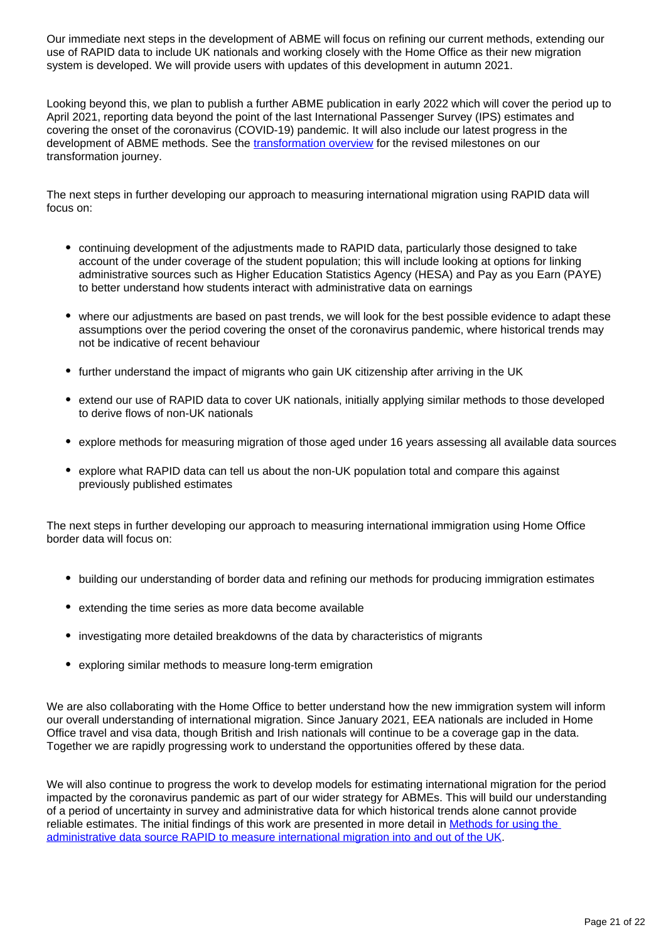Our immediate next steps in the development of ABME will focus on refining our current methods, extending our use of RAPID data to include UK nationals and working closely with the Home Office as their new migration system is developed. We will provide users with updates of this development in autumn 2021.

Looking beyond this, we plan to publish a further ABME publication in early 2022 which will cover the period up to April 2021, reporting data beyond the point of the last International Passenger Survey (IPS) estimates and covering the onset of the coronavirus (COVID-19) pandemic. It will also include our latest progress in the development of ABME methods. See the [transformation overview](https://www.ons.gov.uk/peoplepopulationandcommunity/populationandmigration/internationalmigration/articles/transformationofthepopulationandmigrationstatisticssystemoverview/2019-06-21) for the revised milestones on our transformation journey.

The next steps in further developing our approach to measuring international migration using RAPID data will focus on:

- continuing development of the adjustments made to RAPID data, particularly those designed to take account of the under coverage of the student population; this will include looking at options for linking administrative sources such as Higher Education Statistics Agency (HESA) and Pay as you Earn (PAYE) to better understand how students interact with administrative data on earnings
- where our adjustments are based on past trends, we will look for the best possible evidence to adapt these assumptions over the period covering the onset of the coronavirus pandemic, where historical trends may not be indicative of recent behaviour
- further understand the impact of migrants who gain UK citizenship after arriving in the UK
- extend our use of RAPID data to cover UK nationals, initially applying similar methods to those developed to derive flows of non-UK nationals
- explore methods for measuring migration of those aged under 16 years assessing all available data sources
- explore what RAPID data can tell us about the non-UK population total and compare this against previously published estimates

The next steps in further developing our approach to measuring international immigration using Home Office border data will focus on:

- building our understanding of border data and refining our methods for producing immigration estimates
- extending the time series as more data become available
- investigating more detailed breakdowns of the data by characteristics of migrants
- exploring similar methods to measure long-term emigration

We are also collaborating with the Home Office to better understand how the new immigration system will inform our overall understanding of international migration. Since January 2021, EEA nationals are included in Home Office travel and visa data, though British and Irish nationals will continue to be a coverage gap in the data. Together we are rapidly progressing work to understand the opportunities offered by these data.

We will also continue to progress the work to develop models for estimating international migration for the period impacted by the coronavirus pandemic as part of our wider strategy for ABMEs. This will build our understanding of a period of uncertainty in survey and administrative data for which historical trends alone cannot provide reliable estimates. The initial findings of this work are presented in more detail in Methods for using the [administrative data source RAPID to measure international migration into and out of the UK.](https://www.ons.gov.uk/peoplepopulationandcommunity/populationandmigration/internationalmigration/methodologies/methodsformeasuringinternationalmigrationusingrapidadministrativedata)